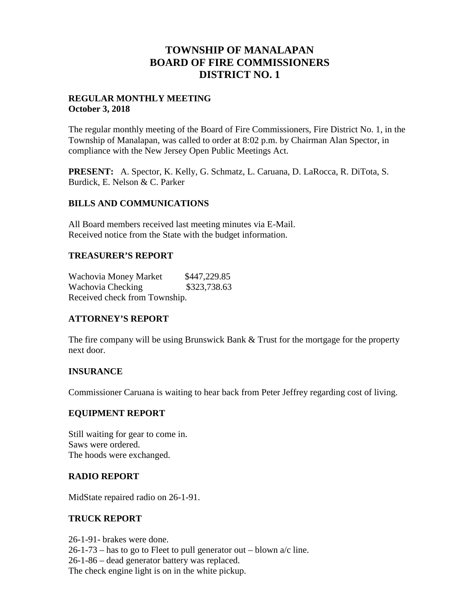## **TOWNSHIP OF MANALAPAN BOARD OF FIRE COMMISSIONERS DISTRICT NO. 1**

#### **REGULAR MONTHLY MEETING October 3, 2018**

The regular monthly meeting of the Board of Fire Commissioners, Fire District No. 1, in the Township of Manalapan, was called to order at 8:02 p.m. by Chairman Alan Spector, in compliance with the New Jersey Open Public Meetings Act.

**PRESENT:** A. Spector, K. Kelly, G. Schmatz, L. Caruana, D. LaRocca, R. DiTota, S. Burdick, E. Nelson & C. Parker

### **BILLS AND COMMUNICATIONS**

All Board members received last meeting minutes via E-Mail. Received notice from the State with the budget information.

### **TREASURER'S REPORT**

Wachovia Money Market \$447,229.85 Wachovia Checking \$323,738.63 Received check from Township.

## **ATTORNEY'S REPORT**

The fire company will be using Brunswick Bank & Trust for the mortgage for the property next door.

## **INSURANCE**

Commissioner Caruana is waiting to hear back from Peter Jeffrey regarding cost of living.

#### **EQUIPMENT REPORT**

Still waiting for gear to come in. Saws were ordered. The hoods were exchanged.

## **RADIO REPORT**

MidState repaired radio on 26-1-91.

#### **TRUCK REPORT**

26-1-91- brakes were done.

 $26-1-73$  – has to go to Fleet to pull generator out – blown  $a/c$  line.

26-1-86 – dead generator battery was replaced.

The check engine light is on in the white pickup.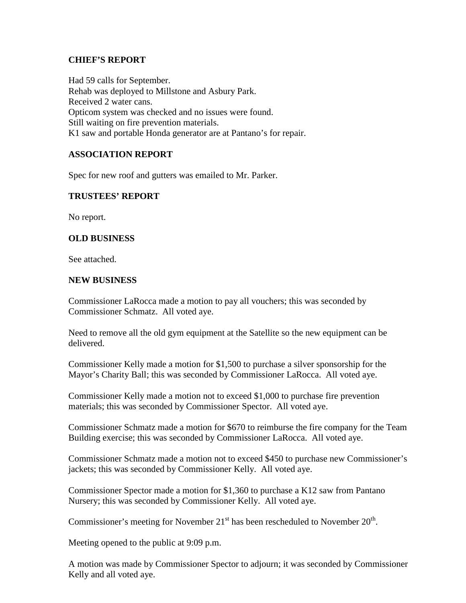#### **CHIEF'S REPORT**

Had 59 calls for September. Rehab was deployed to Millstone and Asbury Park. Received 2 water cans. Opticom system was checked and no issues were found. Still waiting on fire prevention materials. K1 saw and portable Honda generator are at Pantano's for repair.

## **ASSOCIATION REPORT**

Spec for new roof and gutters was emailed to Mr. Parker.

#### **TRUSTEES' REPORT**

No report.

#### **OLD BUSINESS**

See attached.

#### **NEW BUSINESS**

Commissioner LaRocca made a motion to pay all vouchers; this was seconded by Commissioner Schmatz. All voted aye.

Need to remove all the old gym equipment at the Satellite so the new equipment can be delivered.

Commissioner Kelly made a motion for \$1,500 to purchase a silver sponsorship for the Mayor's Charity Ball; this was seconded by Commissioner LaRocca. All voted aye.

Commissioner Kelly made a motion not to exceed \$1,000 to purchase fire prevention materials; this was seconded by Commissioner Spector. All voted aye.

Commissioner Schmatz made a motion for \$670 to reimburse the fire company for the Team Building exercise; this was seconded by Commissioner LaRocca. All voted aye.

Commissioner Schmatz made a motion not to exceed \$450 to purchase new Commissioner's jackets; this was seconded by Commissioner Kelly. All voted aye.

Commissioner Spector made a motion for \$1,360 to purchase a K12 saw from Pantano Nursery; this was seconded by Commissioner Kelly. All voted aye.

Commissioner's meeting for November  $21<sup>st</sup>$  has been rescheduled to November  $20<sup>th</sup>$ .

Meeting opened to the public at 9:09 p.m.

A motion was made by Commissioner Spector to adjourn; it was seconded by Commissioner Kelly and all voted aye.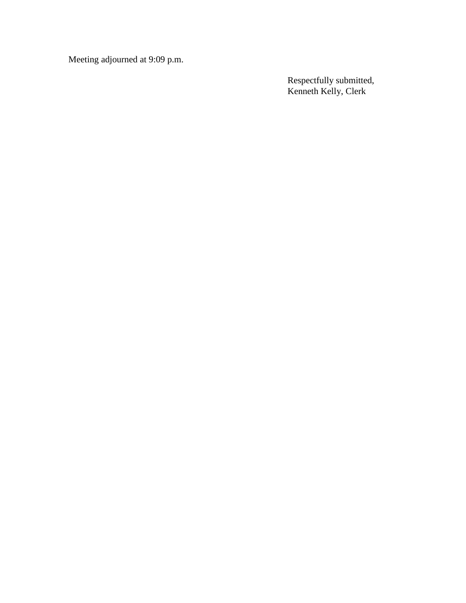Meeting adjourned at 9:09 p.m.

Respectfully submitted, Kenneth Kelly, Clerk